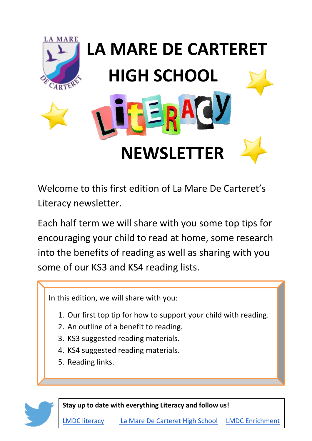

Welcome to this first edition of La Mare De Carteret's Literacy newsletter.

Each half term we will share with you some top tips for encouraging your child to read at home, some research into the benefits of reading as well as sharing with you some of our KS3 and KS4 reading lists.

In this edition, we will share with you:

- 1. Our first top tip for how to support your child with reading.
- 2. An outline of a benefit to reading.
- 3. KS3 suggested reading materials.
- 4. KS4 suggested reading materials.
- 5. Reading links.

**Stay up to date with everything Literacy and follow us!** 

[LMDC literacy](https://twitter.com/LMDC_Literacy) [La Mare De Carteret High School](https://twitter.com/LamareHighSchoo) [LMDC Enrichment](https://twitter.com/LMDCHSCA)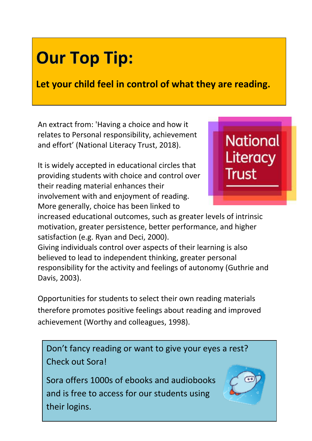# **Our Top Tip:**

**Let your child feel in control of what they are reading.**

An extract from: 'Having a choice and how it relates to Personal responsibility, achievement and effort' (National Literacy Trust, 2018).

It is widely accepted in educational circles that providing students with choice and control over their reading material enhances their involvement with and enjoyment of reading. More generally, choice has been linked to



increased educational outcomes, such as greater levels of intrinsic motivation, greater persistence, better performance, and higher satisfaction (e.g. Ryan and Deci, 2000).

Giving individuals control over aspects of their learning is also believed to lead to independent thinking, greater personal responsibility for the activity and feelings of autonomy (Guthrie and Davis, 2003).

Opportunities for students to select their own reading materials therefore promotes positive feelings about reading and improved achievement (Worthy and colleagues, 1998).

Don't fancy reading or want to give your eyes a rest? Check out Sora!

Sora offers 1000s of ebooks and audiobooks and is free to access for our students using their logins.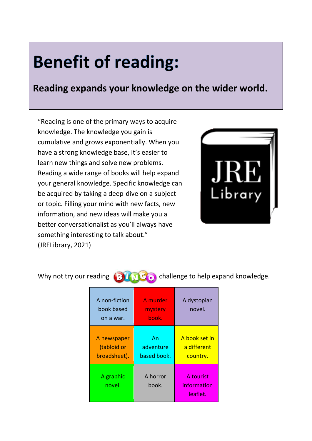## **Benefit of reading:**

**Reading expands your knowledge on the wider world.**

"Reading is one of the primary ways to acquire knowledge. The knowledge you gain is cumulative and grows exponentially. When you have a strong knowledge base, it's easier to learn new things and solve new problems. Reading a wide range of books will help expand your general knowledge. Specific knowledge can be acquired by taking a deep-dive on a subject or topic. Filling your mind with new facts, new information, and new ideas will make you a better conversationalist as you'll always have something interesting to talk about." (JRELibrary, 2021)



Why not try our reading  $\left( B \right)$  of  $\left( C \right)$  challenge to help expand knowledge.

A non-fiction book based on a war. A murder mystery book. A dystopian novel. A newspaper (tabloid or broadsheet). An adventure based book. A book set in a different country. A graphic novel. A horror book. A tourist information leaflet.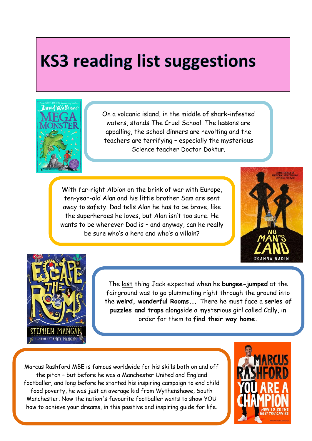## **KS3 reading list suggestions**



On a volcanic island, in the middle of shark-infested waters, stands The Cruel School. The lessons are appalling, the school dinners are revolting and the teachers are terrifying – especially the mysterious Science teacher Doctor Doktur.

With far-right Albion on the brink of war with Europe, ten-year-old Alan and his little brother Sam are sent away to safety. Dad tells Alan he has to be brave, like the superheroes he loves, but Alan isn't too sure. He wants to be wherever Dad is – and anyway, can he really be sure who's a hero and who's a villain?





The last thing Jack expected when he **bungee-jumped** at the fairground was to go plummeting right through the ground into the **weird, wonderful Rooms...** There he must face a **series of puzzles and traps** alongside a mysterious girl called Cally, in order for them to **find their way home.**

Marcus Rashford MBE is famous worldwide for his skills both on and off the pitch – but before he was a Manchester United and England footballer, and long before he started his inspiring campaign to end child food poverty, he was just an average kid from Wythenshawe, South Manchester. Now the nation's favourite footballer wants to show YOU how to achieve your dreams, in this positive and inspiring guide for life.

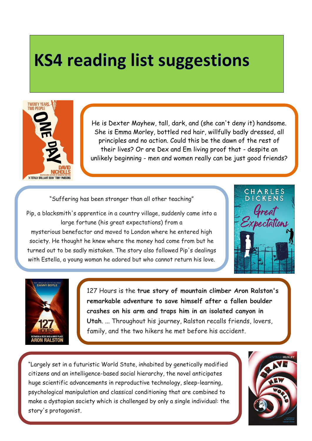### **KS4 reading list suggestions**



He is Dexter Mayhew, tall, dark, and (she can't deny it) handsome. She is Emma Morley, bottled red hair, willfully badly dressed, all principles and no action. Could this be the dawn of the rest of their lives? Or are Dex and Em living proof that - despite an unlikely beginning - men and women really can be just good friends?

"Suffering has been stronger than all other teaching"

Pip, a blacksmith's apprentice in a country village, suddenly came into a large fortune (his great expectations) from a mysterious benefactor and moved to London where he entered high society. He thought he knew where the money had come from but he turned out to be sadly mistaken. The story also followed Pip's dealings with Estella, a young woman he adored but who cannot return his love.





127 Hours is the **true story of mountain climber Aron Ralston's remarkable adventure to save himself after a fallen boulder crashes on his arm and traps him in an isolated canyon in Utah**. ... Throughout his journey, Ralston recalls friends, lovers, family, and the two hikers he met before his accident.

"Largely set in a futuristic World State, inhabited by genetically modified citizens and an intelligence-based social hierarchy, the novel anticipates huge scientific advancements in reproductive technology, sleep-learning, psychological manipulation and classical conditioning that are combined to make a dystopian society which is challenged by only a single individual: the story's protagonist.